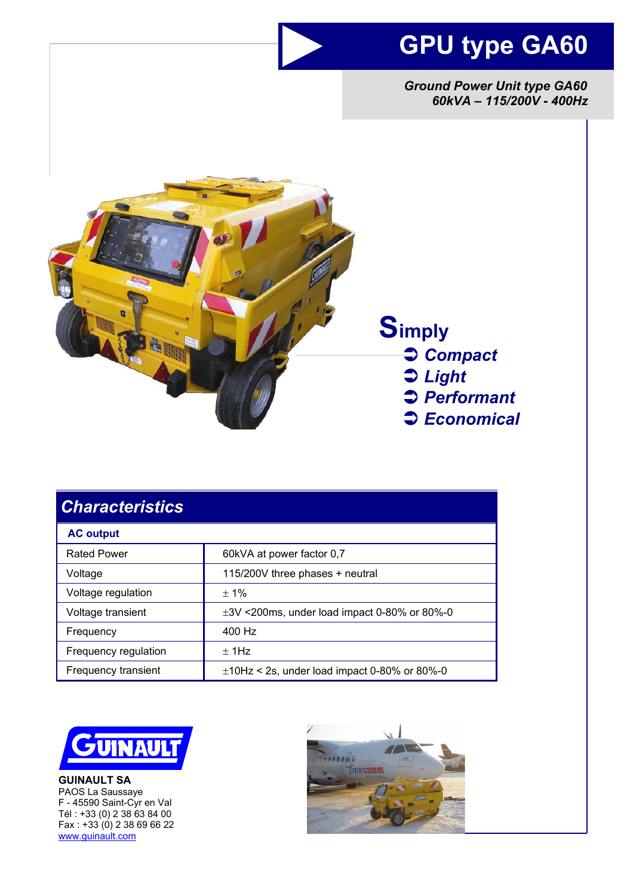## **GPU type GA60**

*Ground Power Unit type GA60 60kVA – 115/200V - 400Hz* 



 **Simply**  Â *Compact*  Â *Light*  Â *Performant*  Â *Economical* 

| <b>Characteristics</b> |                                                   |
|------------------------|---------------------------------------------------|
| <b>AC output</b>       |                                                   |
| <b>Rated Power</b>     | 60kVA at power factor 0,7                         |
| Voltage                | 115/200V three phases + neutral                   |
| Voltage regulation     | $± 1\%$                                           |
| Voltage transient      | $\pm$ 3V <200ms, under load impact 0-80% or 80%-0 |
| Frequency              | 400 Hz                                            |
| Frequency regulation   | $±$ 1Hz                                           |
| Frequency transient    | $\pm$ 10Hz < 2s, under load impact 0-80% or 80%-0 |



**GUINAULT SA**  PAOS La Saussaye F - 45590 Saint-Cyr en Val Tél : +33 (0) 2 38 63 84 00 Fax : +33 (0) 2 38 69 66 22 www.guinault.com